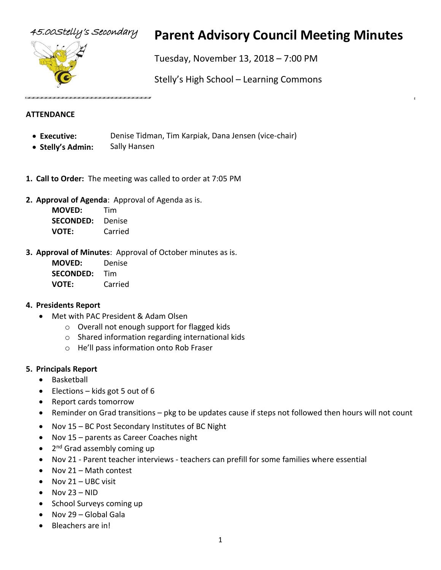

# 45.00Stelly's Secondary **Parent Advisory Council Meeting Minutes**

Tuesday, November 13, 2018 – 7:00 PM

Stelly's High School – Learning Commons

#### **ATTENDANCE**

- **Executive:** Denise Tidman, Tim Karpiak, Dana Jensen (vice-chair)
- **Stelly's Admin:** Sally Hansen
- **1. Call to Order:** The meeting was called to order at 7:05 PM
- **2. Approval of Agenda**: Approval of Agenda as is.

| <b>MOVED:</b>    | Tim     |
|------------------|---------|
| <b>SECONDED:</b> | Denise  |
| VOTE:            | Carried |

**3. Approval of Minutes**: Approval of October minutes as is.

| <b>MOVED:</b>    | Denise  |
|------------------|---------|
| <b>SECONDED:</b> | Tim     |
| <b>VOTE:</b>     | Carried |

#### **4. Presidents Report**

- Met with PAC President & Adam Olsen
	- o Overall not enough support for flagged kids
	- o Shared information regarding international kids
	- o He'll pass information onto Rob Fraser

#### **5. Principals Report**

- **Basketball**
- Elections kids got 5 out of 6
- Report cards tomorrow
- Reminder on Grad transitions pkg to be updates cause if steps not followed then hours will not count
- Nov 15 BC Post Secondary Institutes of BC Night
- Nov 15 parents as Career Coaches night
- 2<sup>nd</sup> Grad assembly coming up
- Nov 21 Parent teacher interviews teachers can prefill for some families where essential
- Nov 21 Math contest
- $\bullet$  Nov 21 UBC visit
- Nov  $23 NID$
- School Surveys coming up
- Nov 29 Global Gala
- Bleachers are in!